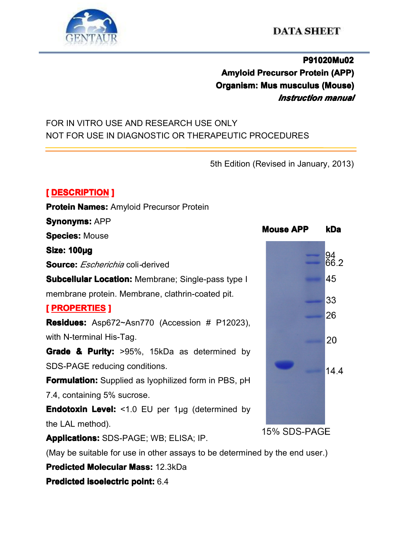

# **P91020Mu02 P91020Mu02 Amyloid Precursor Protein (APP) Organism: Organism: Mus musculus musculus musculus musculus (Mouse) (Mouse) (Mouse)** *Instruction manual*

## FOR IN VITRO USE AND RESEARCH USE ONLY NOT FOR USE IN DIAGNOSTIC OR THERAPEUTIC PROCEDURES

5th Edition (Revised in January, 2013)

## $[$  **DESCRIPTION ]**

| <b>Protein Names: Amyloid Precursor Protein</b>                             |                  |
|-----------------------------------------------------------------------------|------------------|
| <b>Synonyms: APP</b>                                                        | <b>Mouse APP</b> |
| <b>Species: Mouse</b>                                                       |                  |
| <b>Size: 100µg</b>                                                          |                  |
| <b>Source:</b> <i>Escherichia</i> coli-derived                              |                  |
| <b>Subcellular Location: Membrane; Single-pass type I</b>                   |                  |
| membrane protein. Membrane, clathrin-coated pit.                            |                  |
| <u>[ PROPERTIES</u> ]                                                       |                  |
| Residues: Asp672~Asn770 (Accession # P12023),                               |                  |
| with N-terminal His-Tag.                                                    |                  |
| <b>Grade &amp; Purity:</b> >95%, 15kDa as determined by                     |                  |
| SDS-PAGE reducing conditions.                                               |                  |
| <b>Formulation:</b> Supplied as lyophilized form in PBS, pH                 |                  |
| 7.4, containing 5% sucrose.                                                 |                  |
| <b>Endotoxin Level:</b> <1.0 EU per 1µg (determined by                      |                  |
| the LAL method).                                                            |                  |
| <b>Applications: SDS-PAGE; WB; ELISA; IP.</b>                               | 15% SDS-PAGE     |
| (May be suitable for use in other assays to be determined by the end user.) |                  |
| <b>Predicted Molecular Mass: 12.3kDa</b>                                    |                  |

**Predicted Predicted isoelectric isoelectricisoelectric [isoelectricpoint](app:ds:  isoelectric point):** 6.4



**PAGE**